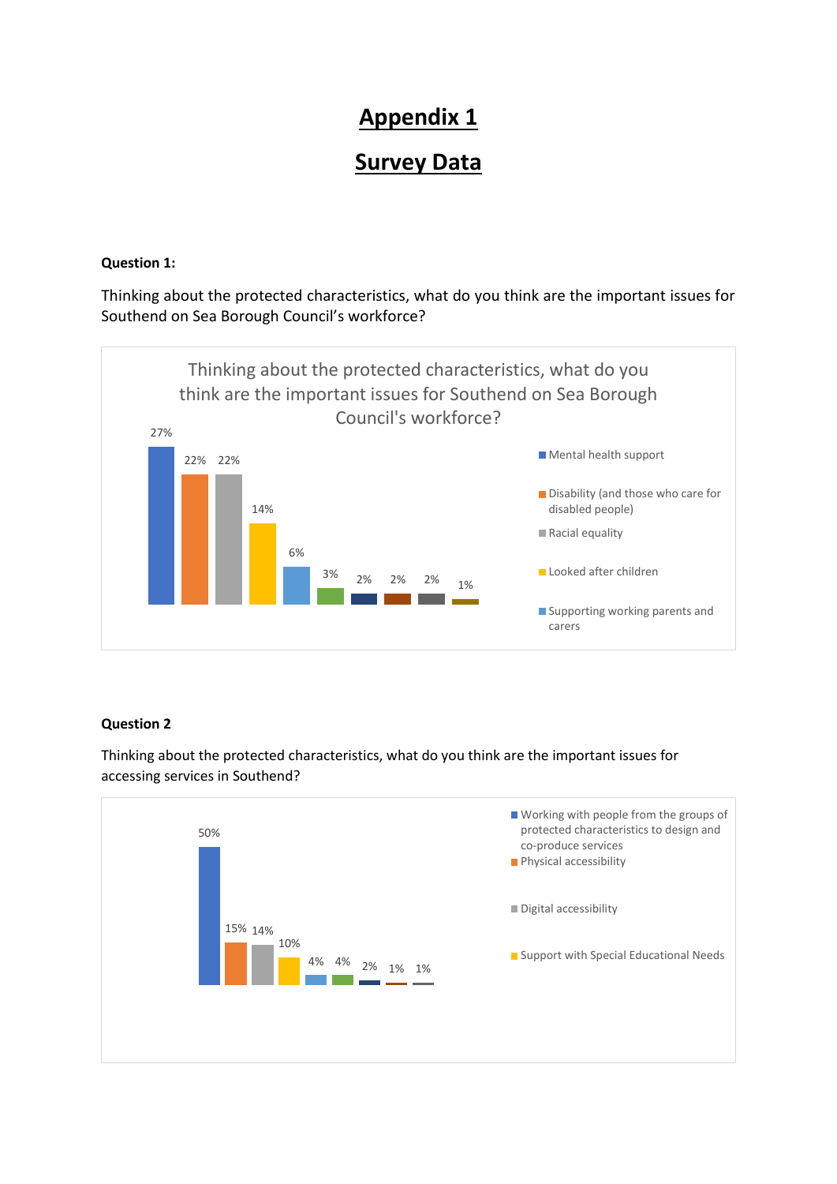# **Appendix 1**

# **Survey Data**

#### **Question 1:**

Thinking about the protected characteristics, what do you think are the important issues for Southend on Sea Borough Council's workforce?



### **Question 2**

Thinking about the protected characteristics, what do you think are the important issues for accessing services in Southend?

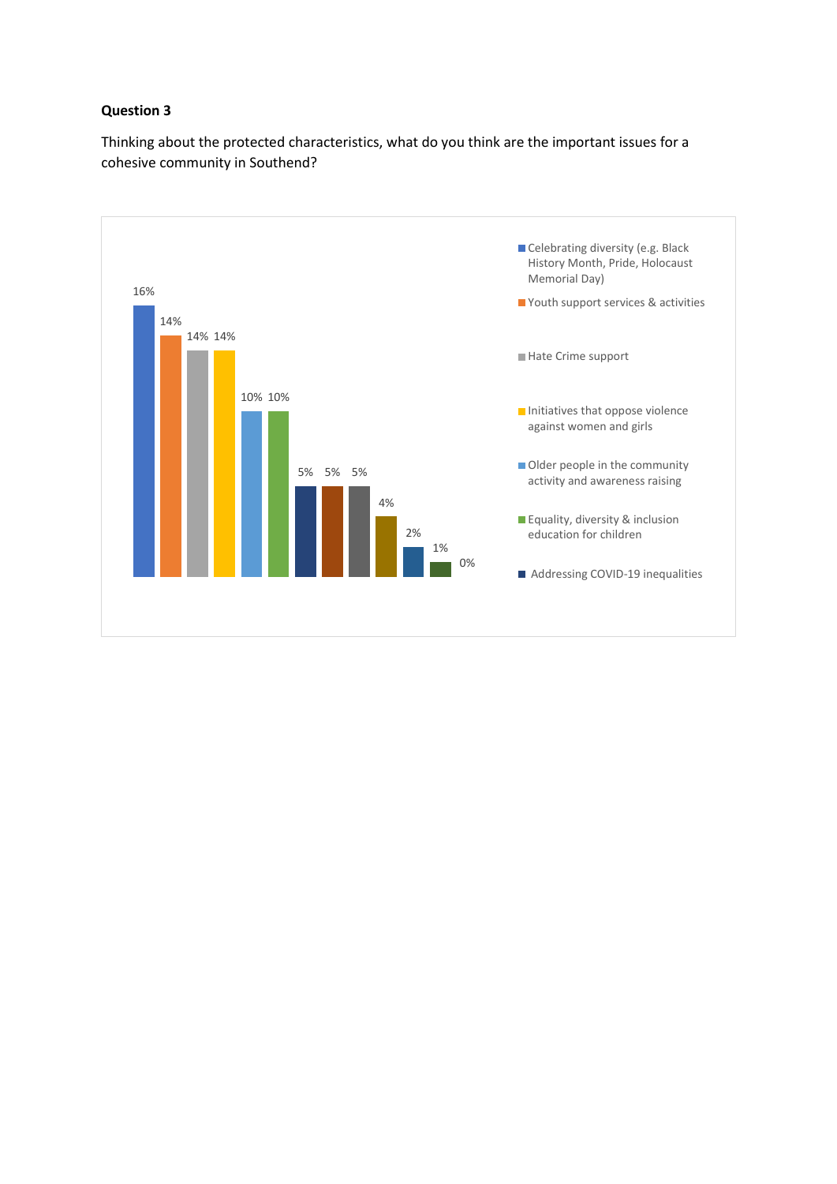#### **Question 3**

Thinking about the protected characteristics, what do you think are the important issues for a cohesive community in Southend?

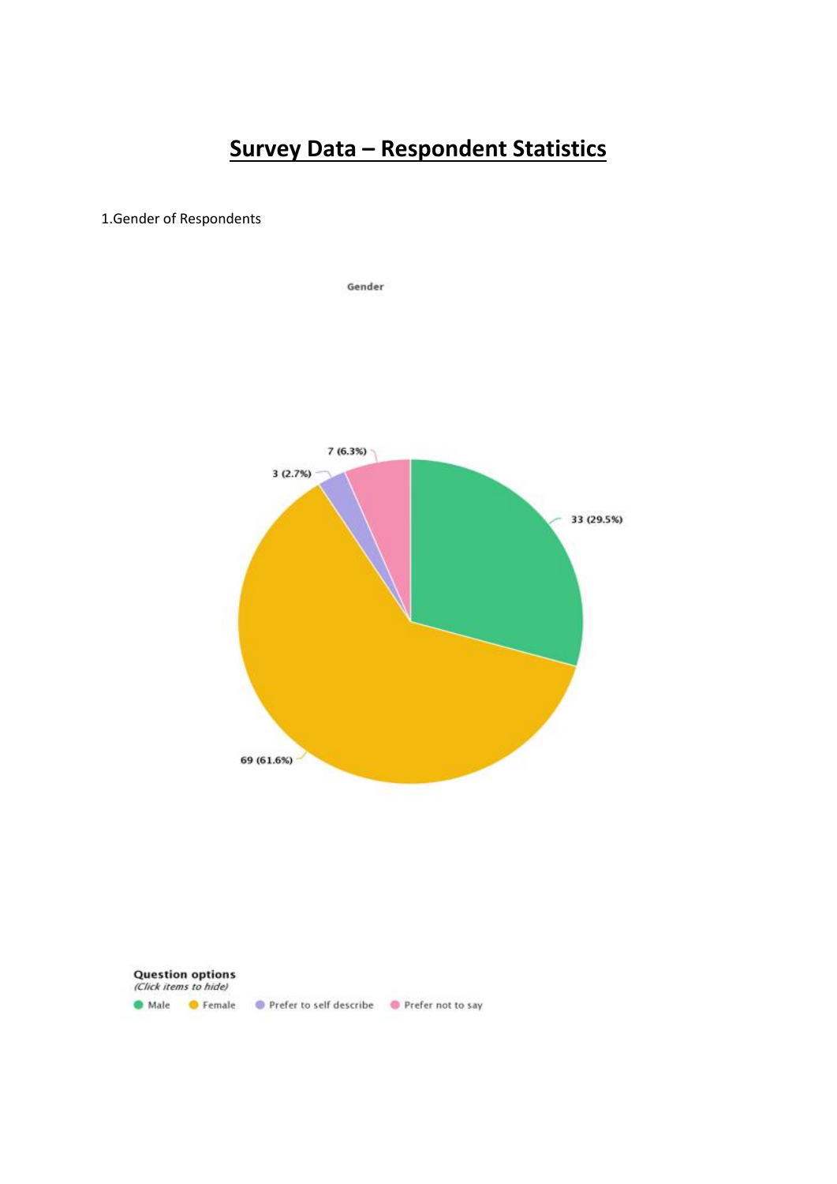# **Survey Data – Respondent Statistics**

#### 1.Gender of Respondents



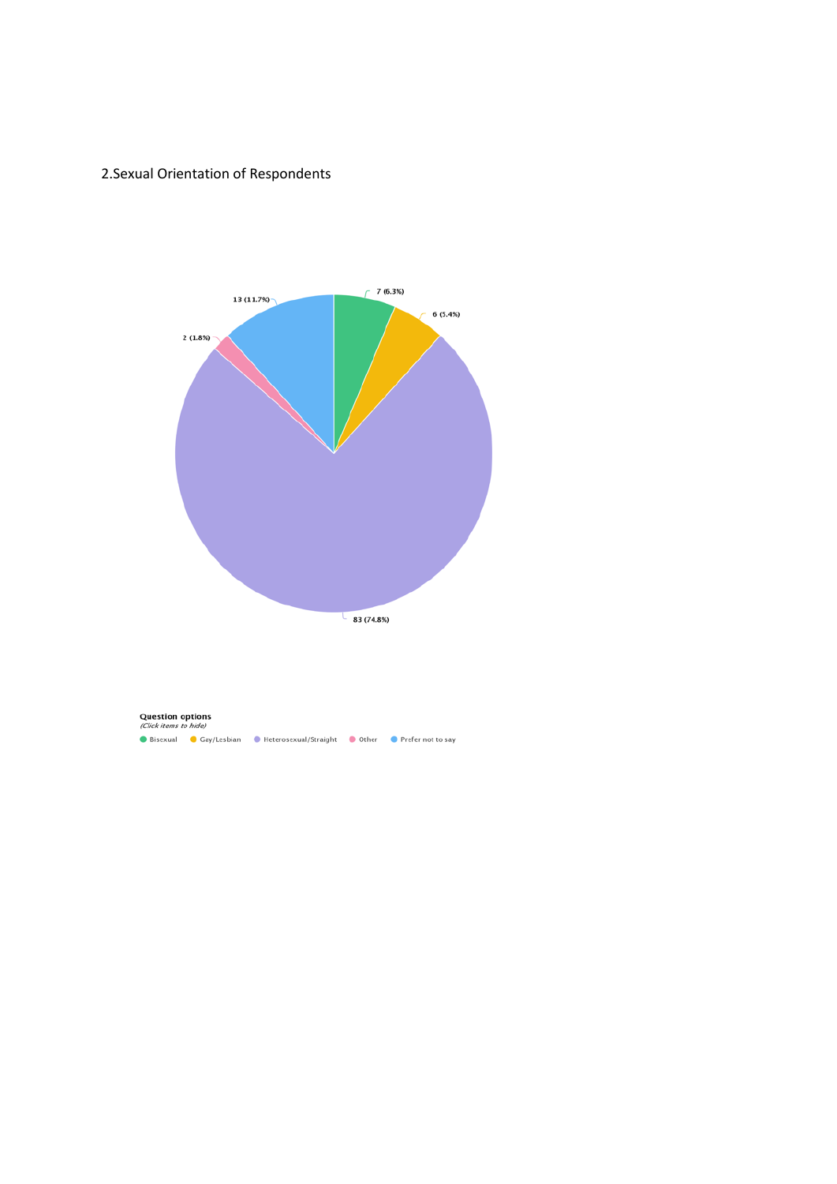### 2.Sexual Orientation of Respondents



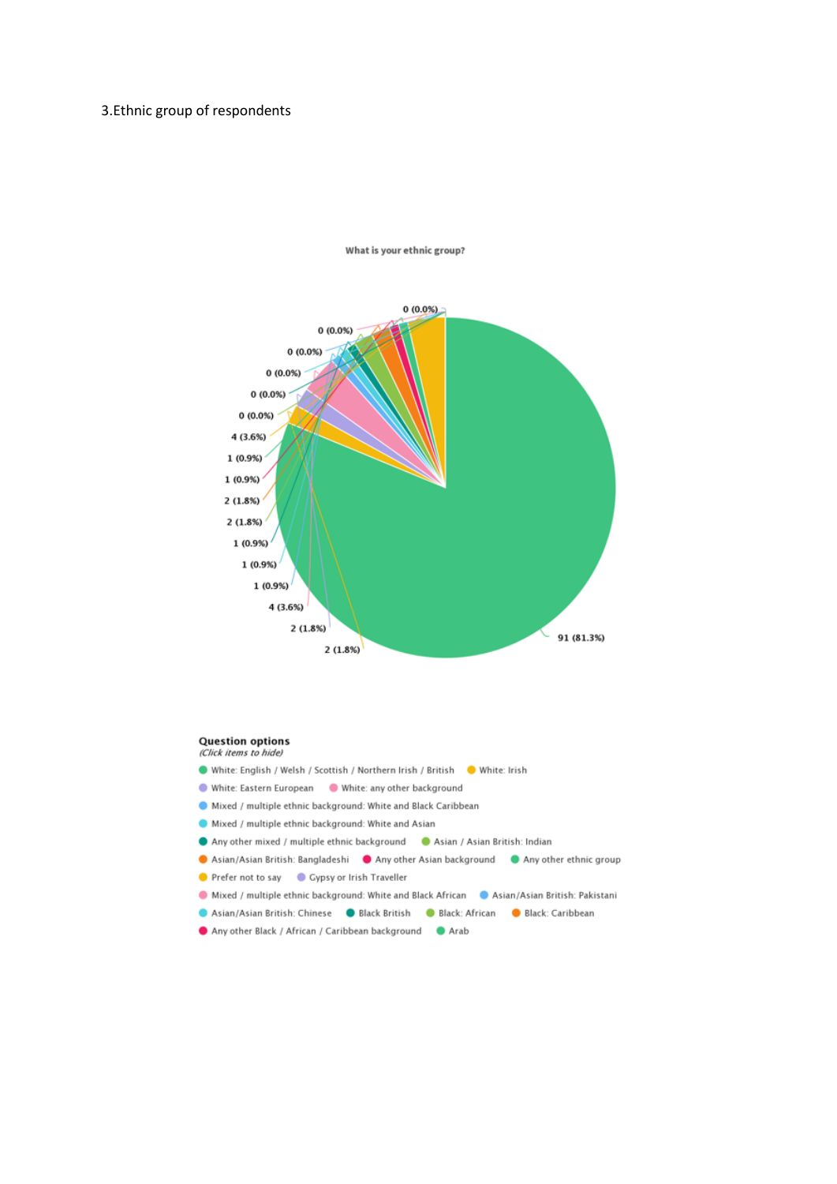#### 3.Ethnic group of respondents



What is your ethnic group?

#### **Question options** (Click items to hide)

- White: English / Welsh / Scottish / Northern Irish / British White: Irish
- White: Eastern European White: any other background
- Mixed / multiple ethnic background: White and Black Caribbean
- Mixed / multiple ethnic background: White and Asian
- Any other mixed / multiple ethnic background Asian / Asian British: Indian
- Asian/Asian British: Bangladeshi Any other Asian background Any other ethnic group
- Prefer not to say Cypsy or Irish Traveller
- Mixed / multiple ethnic background: White and Black African Asian/Asian British: Pakistani
- Asian/Asian British: Chinese <br>
Black British <br>
Black: African <br>
Black: Caribbean
- Any other Black / African / Caribbean background @ Arab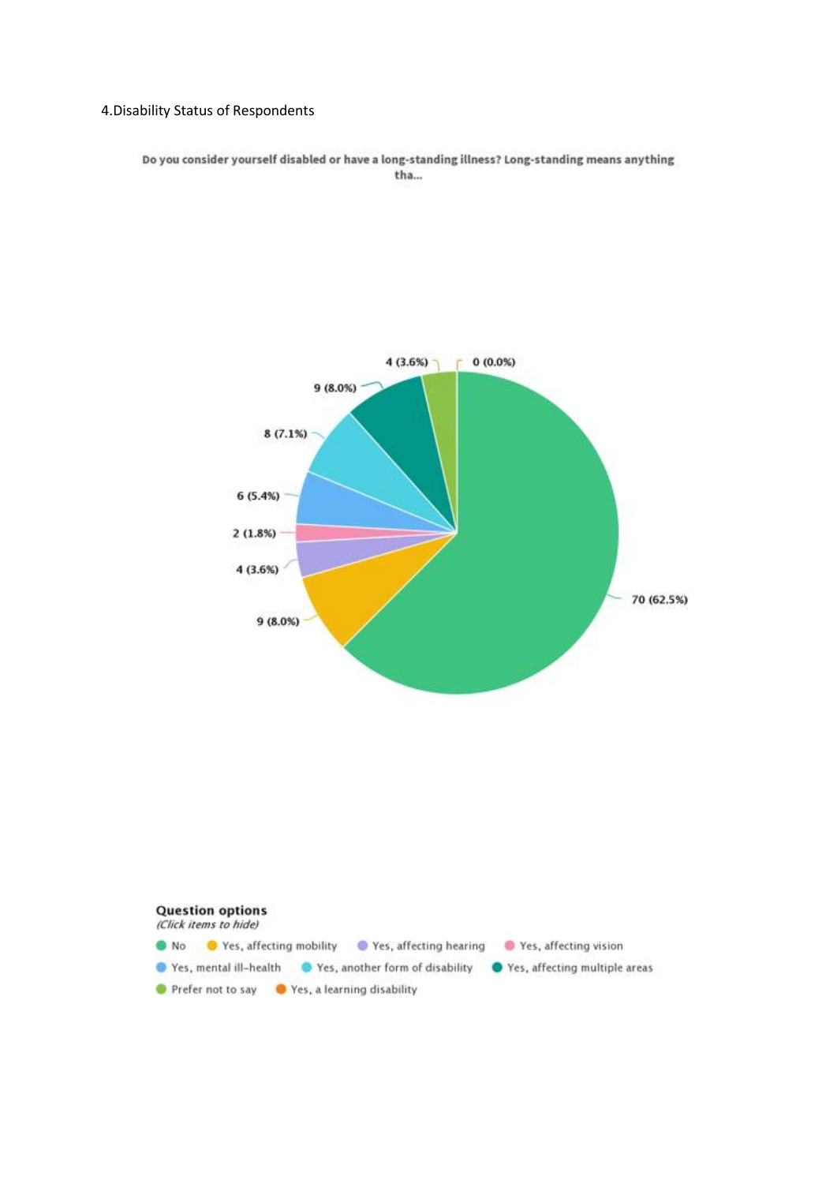#### 4.Disability Status of Respondents

Do you consider yourself disabled or have a long-standing illness? Long-standing means anything tha...

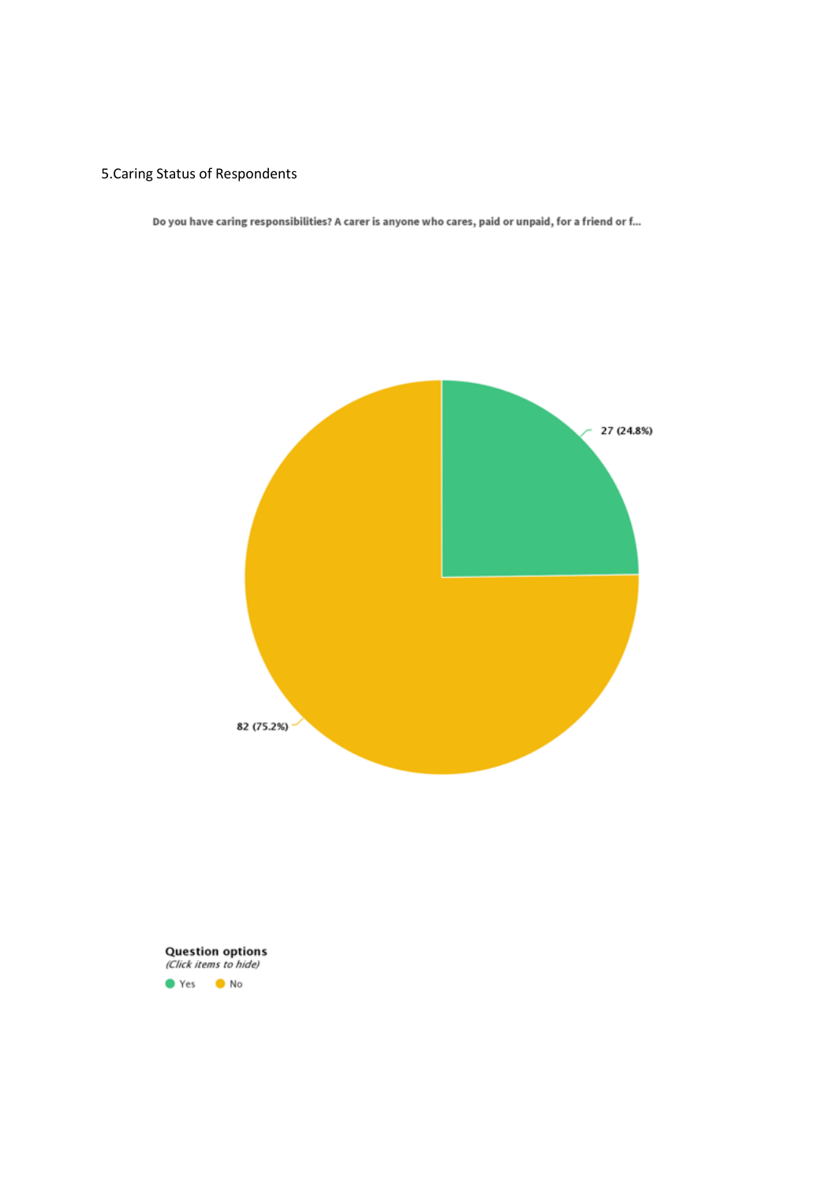# 5.Caring Status of Respondents

Do you have caring responsibilities? A carer is anyone who cares, paid or unpaid, for a friend or f...



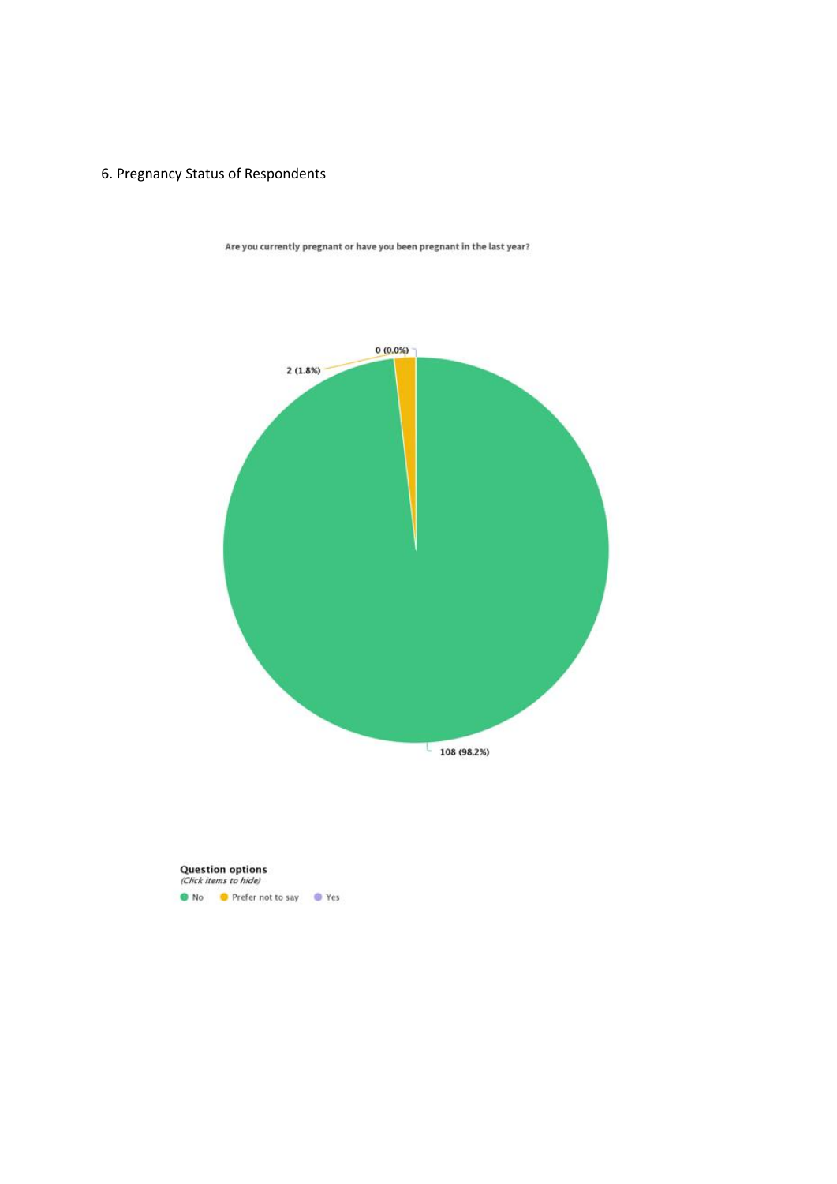# 6. Pregnancy Status of Respondents



Are you currently pregnant or have you been pregnant in the last year?

**Question options**<br>(Click items to hide) • No • Prefer not to say • • Yes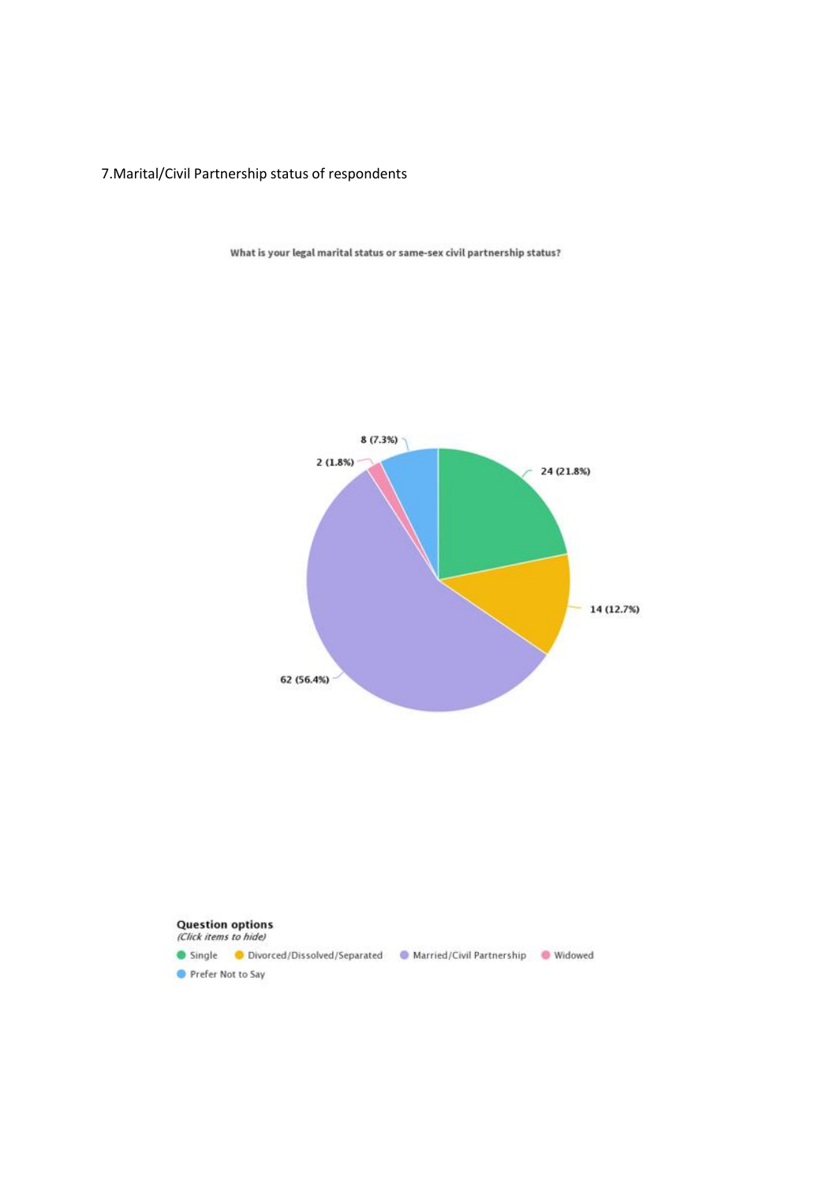### 7.Marital/Civil Partnership status of respondents



What is your legal marital status or same-sex civil partnership status?